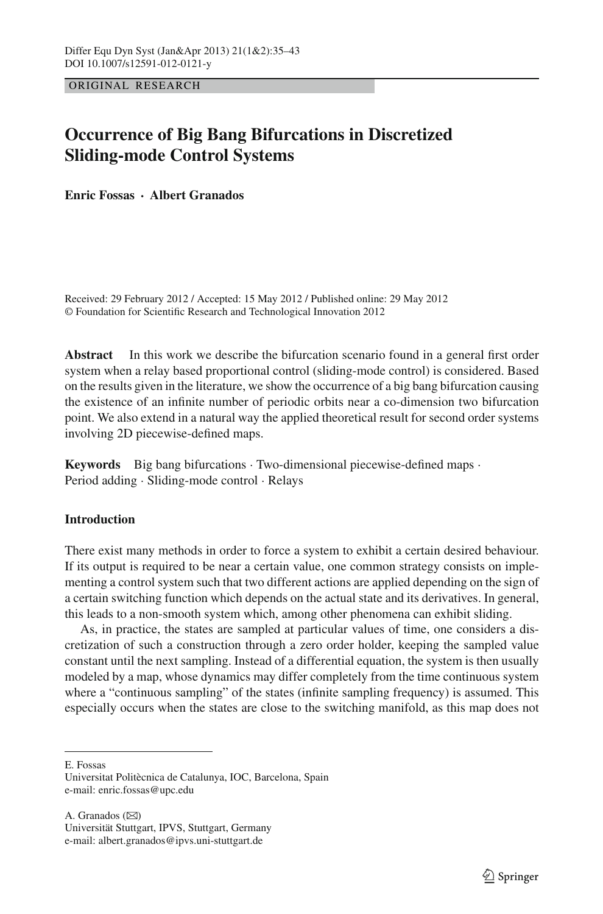ORIGINAL RESEARCH

# **Occurrence of Big Bang Bifurcations in Discretized Sliding-mode Control Systems**

**Enric Fossas · Albert Granados**

Received: 29 February 2012 / Accepted: 15 May 2012 / Published online: 29 May 2012 © Foundation for Scientific Research and Technological Innovation 2012

**Abstract** In this work we describe the bifurcation scenario found in a general first order system when a relay based proportional control (sliding-mode control) is considered. Based on the results given in the literature, we show the occurrence of a big bang bifurcation causing the existence of an infinite number of periodic orbits near a co-dimension two bifurcation point. We also extend in a natural way the applied theoretical result for second order systems involving 2D piecewise-defined maps.

**Keywords** Big bang bifurcations · Two-dimensional piecewise-defined maps · Period adding · Sliding-mode control · Relays

# **Introduction**

There exist many methods in order to force a system to exhibit a certain desired behaviour. If its output is required to be near a certain value, one common strategy consists on implementing a control system such that two different actions are applied depending on the sign of a certain switching function which depends on the actual state and its derivatives. In general, this leads to a non-smooth system which, among other phenomena can exhibit sliding.

As, in practice, the states are sampled at particular values of time, one considers a discretization of such a construction through a zero order holder, keeping the sampled value constant until the next sampling. Instead of a differential equation, the system is then usually modeled by a map, whose dynamics may differ completely from the time continuous system where a "continuous sampling" of the states (infinite sampling frequency) is assumed. This especially occurs when the states are close to the switching manifold, as this map does not

E. Fossas

Universitat Politècnica de Catalunya, IOC, Barcelona, Spain e-mail: enric.fossas@upc.edu

A. Granados  $(\boxtimes)$ Universität Stuttgart, IPVS, Stuttgart, Germany e-mail: albert.granados@ipvs.uni-stuttgart.de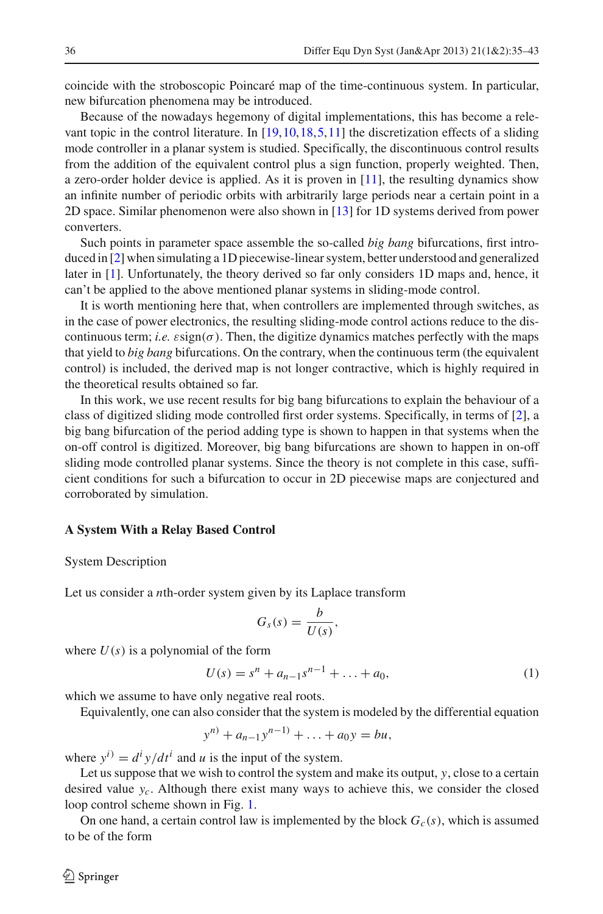coincide with the stroboscopic Poincaré map of the time-continuous system. In particular, new bifurcation phenomena may be introduced.

Because of the nowadays hegemony of digital implementations, this has become a relevant topic in the control literature. In [\[19](#page-8-0)[,10](#page-8-1)[,18](#page-8-2)[,5](#page-8-3)[,11\]](#page-8-4) the discretization effects of a sliding mode controller in a planar system is studied. Specifically, the discontinuous control results from the addition of the equivalent control plus a sign function, properly weighted. Then, a zero-order holder device is applied. As it is proven in  $[11]$  $[11]$ , the resulting dynamics show an infinite number of periodic orbits with arbitrarily large periods near a certain point in a 2D space. Similar phenomenon were also shown in [\[13](#page-8-5)] for 1D systems derived from power converters.

Such points in parameter space assemble the so-called *big bang* bifurcations, first introduced in [\[2\]](#page-8-6) when simulating a 1D piecewise-linear system, better understood and generalized later in [\[1\]](#page-8-7). Unfortunately, the theory derived so far only considers 1D maps and, hence, it can't be applied to the above mentioned planar systems in sliding-mode control.

It is worth mentioning here that, when controllers are implemented through switches, as in the case of power electronics, the resulting sliding-mode control actions reduce to the discontinuous term; *i.e.*  $\varepsilon$ sign( $\sigma$ ). Then, the digitize dynamics matches perfectly with the maps that yield to *big bang* bifurcations. On the contrary, when the continuous term (the equivalent control) is included, the derived map is not longer contractive, which is highly required in the theoretical results obtained so far.

In this work, we use recent results for big bang bifurcations to explain the behaviour of a class of digitized sliding mode controlled first order systems. Specifically, in terms of [\[2\]](#page-8-6), a big bang bifurcation of the period adding type is shown to happen in that systems when the on-off control is digitized. Moreover, big bang bifurcations are shown to happen in on-off sliding mode controlled planar systems. Since the theory is not complete in this case, sufficient conditions for such a bifurcation to occur in 2D piecewise maps are conjectured and corroborated by simulation.

# **A System With a Relay Based Control**

#### System Description

Let us consider a *n*th-order system given by its Laplace transform

$$
G_s(s) = \frac{b}{U(s)},
$$

where  $U(s)$  is a polynomial of the form

$$
U(s) = sn + an-1sn-1 + ... + a0,
$$
 (1)

which we assume to have only negative real roots.

Equivalently, one can also consider that the system is modeled by the differential equation

$$
y^{n)} + a_{n-1}y^{n-1} + \ldots + a_0y = bu,
$$

where  $y^i$  =  $d^i y/dt^i$  and *u* is the input of the system.

Let us suppose that we wish to control the system and make its output, *y*, close to a certain desired value  $y_c$ . Although there exist many ways to achieve this, we consider the closed loop control scheme shown in Fig. [1.](#page-2-0)

On one hand, a certain control law is implemented by the block  $G_c(s)$ , which is assumed to be of the form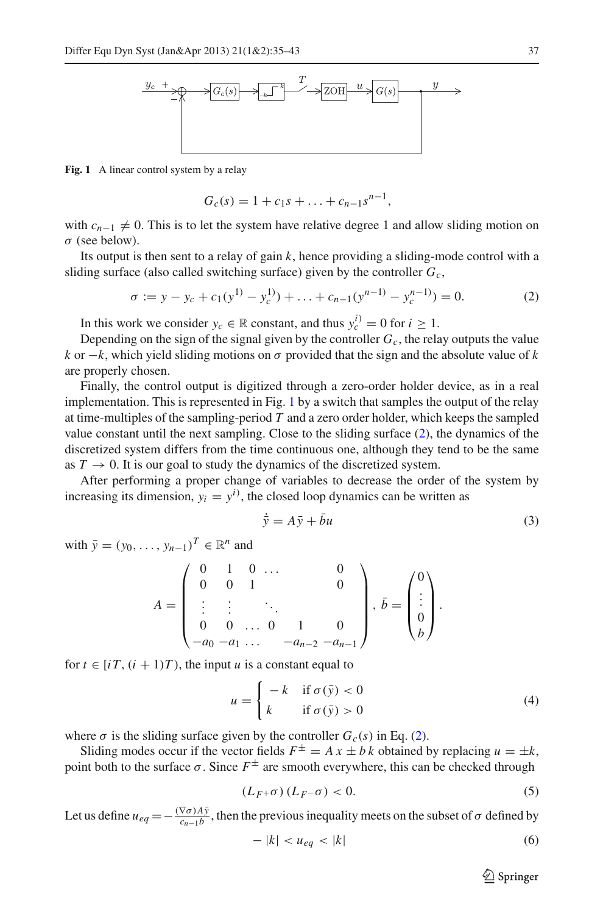

<span id="page-2-0"></span>Fig. 1 A linear control system by a relay

$$
G_c(s) = 1 + c_1 s + \ldots + c_{n-1} s^{n-1},
$$

with  $c_{n-1} \neq 0$ . This is to let the system have relative degree 1 and allow sliding motion on σ (see below).

<span id="page-2-1"></span>Its output is then sent to a relay of gain *k*, hence providing a sliding-mode control with a sliding surface (also called switching surface) given by the controller *Gc*,

$$
\sigma := y - y_c + c_1(y^{1)} - y_c^{1)} + \ldots + c_{n-1}(y^{n-1)} - y_c^{n-1}) = 0.
$$
 (2)

In this work we consider  $y_c \in \mathbb{R}$  constant, and thus  $y_c^{i} = 0$  for  $i \ge 1$ .

Depending on the sign of the signal given by the controller  $G_c$ , the relay outputs the value *k* or  $-k$ , which yield sliding motions on  $\sigma$  provided that the sign and the absolute value of *k* are properly chosen.

Finally, the control output is digitized through a zero-order holder device, as in a real implementation. This is represented in Fig. [1](#page-2-0) by a switch that samples the output of the relay at time-multiples of the sampling-period *T* and a zero order holder, which keeps the sampled value constant until the next sampling. Close to the sliding surface [\(2\)](#page-2-1), the dynamics of the discretized system differs from the time continuous one, although they tend to be the same as  $T \to 0$ . It is our goal to study the dynamics of the discretized system.

After performing a proper change of variables to decrease the order of the system by increasing its dimension,  $y_i = y^i$ , the closed loop dynamics can be written as

$$
\dot{\bar{y}} = A\bar{y} + \bar{b}u\tag{3}
$$

with  $\bar{v} = (v_0, \ldots, v_{n-1})^T \in \mathbb{R}^n$  and

<span id="page-2-2"></span>
$$
A = \begin{pmatrix} 0 & 1 & 0 & \dots & & 0 \\ 0 & 0 & 1 & & & 0 \\ \vdots & \vdots & & \ddots & & \\ 0 & 0 & \dots & 0 & 1 & 0 \\ -a_0 & -a_1 & \dots & -a_{n-2} & -a_{n-1} \end{pmatrix}, \quad \bar{b} = \begin{pmatrix} 0 \\ \vdots \\ 0 \\ b \end{pmatrix}.
$$

<span id="page-2-3"></span>for  $t \in [i]$ ,  $(i + 1)T$ , the input *u* is a constant equal to

$$
u = \begin{cases} -k & \text{if } \sigma(\bar{y}) < 0 \\ k & \text{if } \sigma(\bar{y}) > 0 \end{cases}
$$
 (4)

where  $\sigma$  is the sliding surface given by the controller  $G_c(s)$  in Eq. [\(2\)](#page-2-1).

Sliding modes occur if the vector fields  $F^{\pm} = A x \pm b k$  obtained by replacing  $u = \pm k$ , point both to the surface  $\sigma$ . Since  $F^{\pm}$  are smooth everywhere, this can be checked through

$$
(L_F + \sigma) (L_F - \sigma) < 0. \tag{5}
$$

<span id="page-2-5"></span><span id="page-2-4"></span>Let us define  $u_{eq} = -\frac{(\nabla \sigma) A \bar{y}}{c_{n-1} b}$ , then the previous inequality meets on the subset of  $\sigma$  defined by

$$
-|k| < u_{eq} < |k| \tag{6}
$$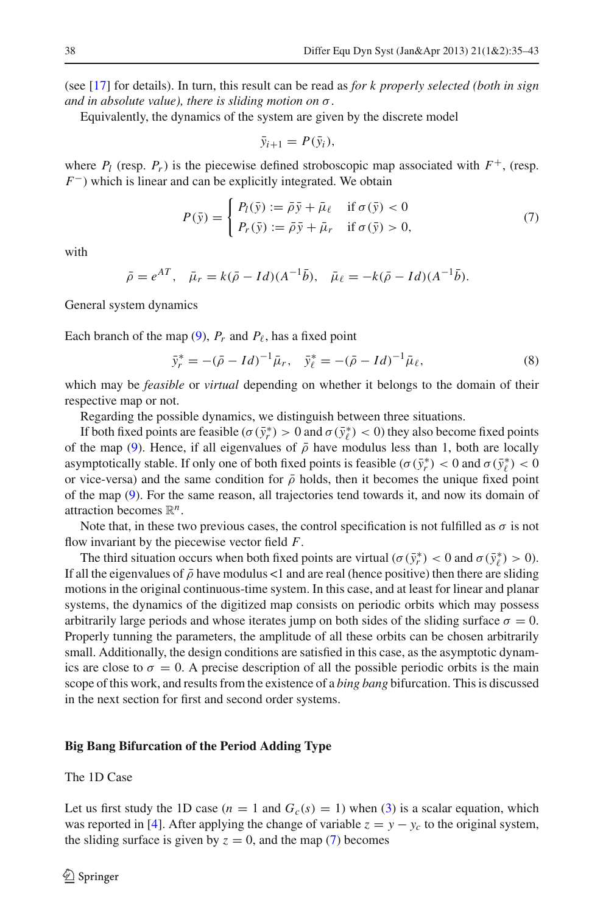(see [\[17\]](#page-8-8) for details). In turn, this result can be read as *for k properly selected (both in sign and in absolute value), there is sliding motion on* σ.

Equivalently, the dynamics of the system are given by the discrete model

$$
\bar{y}_{i+1} = P(\bar{y}_i),
$$

where  $P_l$  (resp.  $P_r$ ) is the piecewise defined stroboscopic map associated with  $F^+$ , (resp. *F*<sup>−</sup>) which is linear and can be explicitly integrated. We obtain

$$
P(\bar{y}) = \begin{cases} P_l(\bar{y}) := \bar{\rho}\bar{y} + \bar{\mu}_{\ell} & \text{if } \sigma(\bar{y}) < 0 \\ P_r(\bar{y}) := \bar{\rho}\bar{y} + \bar{\mu}_r & \text{if } \sigma(\bar{y}) > 0, \end{cases}
$$
(7)

<span id="page-3-0"></span>with

$$
\bar{\rho} = e^{AT}
$$
,  $\bar{\mu}_r = k(\bar{\rho} - Id)(A^{-1}\bar{b})$ ,  $\bar{\mu}_\ell = -k(\bar{\rho} - Id)(A^{-1}\bar{b})$ .

General system dynamics

Each branch of the map  $(9)$ ,  $P_r$  and  $P_\ell$ , has a fixed point

$$
\bar{y}_r^* = -(\bar{\rho} - Id)^{-1} \bar{\mu}_r, \quad \bar{y}_\ell^* = -(\bar{\rho} - Id)^{-1} \bar{\mu}_\ell,
$$
\n(8)

which may be *feasible* or *virtual* depending on whether it belongs to the domain of their respective map or not.

Regarding the possible dynamics, we distinguish between three situations.

If both fixed points are feasible ( $\sigma(\bar{y}_r^*) > 0$  and  $\sigma(\bar{y}_\ell^*) < 0$ ) they also become fixed points of the map [\(9\)](#page-4-0). Hence, if all eigenvalues of  $\bar{\rho}$  have modulus less than 1, both are locally asymptotically stable. If only one of both fixed points is feasible ( $\sigma(\bar{y}_r^*) < 0$  and  $\sigma(\bar{y}_\ell^*) < 0$ or vice-versa) and the same condition for  $\bar{\rho}$  holds, then it becomes the unique fixed point of the map [\(9\)](#page-4-0). For the same reason, all trajectories tend towards it, and now its domain of attraction becomes R*n*.

Note that, in these two previous cases, the control specification is not fulfilled as  $\sigma$  is not flow invariant by the piecewise vector field *F*.

The third situation occurs when both fixed points are virtual ( $\sigma(\bar{y}_r^*) < 0$  and  $\sigma(\bar{y}_\ell^*) > 0$ ). If all the eigenvalues of  $\bar{\rho}$  have modulus <1 and are real (hence positive) then there are sliding motions in the original continuous-time system. In this case, and at least for linear and planar systems, the dynamics of the digitized map consists on periodic orbits which may possess arbitrarily large periods and whose iterates jump on both sides of the sliding surface  $\sigma = 0$ . Properly tunning the parameters, the amplitude of all these orbits can be chosen arbitrarily small. Additionally, the design conditions are satisfied in this case, as the asymptotic dynamics are close to  $\sigma = 0$ . A precise description of all the possible periodic orbits is the main scope of this work, and results from the existence of a *bing bang* bifurcation. This is discussed in the next section for first and second order systems.

#### **Big Bang Bifurcation of the Period Adding Type**

The 1D Case

Let us first study the 1D case  $(n = 1 \text{ and } G_c(s) = 1)$  when [\(3\)](#page-2-2) is a scalar equation, which was reported in [\[4](#page-8-9)]. After applying the change of variable  $z = y - y_c$  to the original system, the sliding surface is given by  $z = 0$ , and the map [\(7\)](#page-3-0) becomes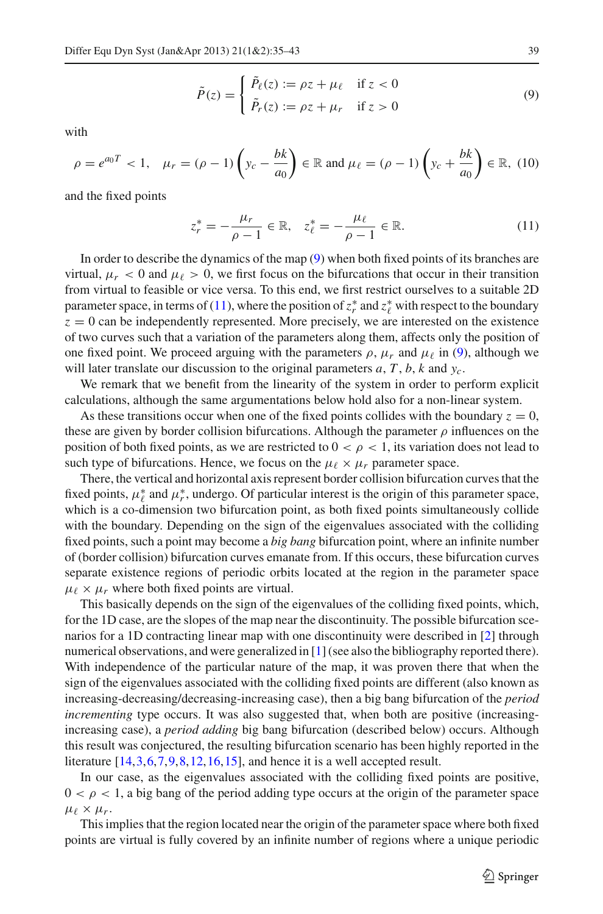$$
\tilde{P}(z) = \begin{cases}\n\tilde{P}_{\ell}(z) := \rho z + \mu_{\ell} & \text{if } z < 0 \\
\tilde{P}_{r}(z) := \rho z + \mu_{r} & \text{if } z > 0\n\end{cases}
$$
\n(9)

<span id="page-4-2"></span><span id="page-4-0"></span>with

$$
\rho = e^{a_0 T} < 1, \quad \mu_r = (\rho - 1) \left( y_c - \frac{bk}{a_0} \right) \in \mathbb{R} \text{ and } \mu_\ell = (\rho - 1) \left( y_c + \frac{bk}{a_0} \right) \in \mathbb{R}, \tag{10}
$$

<span id="page-4-1"></span>and the fixed points

$$
z_r^* = -\frac{\mu_r}{\rho - 1} \in \mathbb{R}, \quad z_\ell^* = -\frac{\mu_\ell}{\rho - 1} \in \mathbb{R}.\tag{11}
$$

In order to describe the dynamics of the map [\(9\)](#page-4-0) when both fixed points of its branches are virtual,  $\mu_r < 0$  and  $\mu_\ell > 0$ , we first focus on the bifurcations that occur in their transition from virtual to feasible or vice versa. To this end, we first restrict ourselves to a suitable 2D parameter space, in terms of [\(11\)](#page-4-1), where the position of  $z_r^*$  and  $z_\ell^*$  with respect to the boundary  $z = 0$  can be independently represented. More precisely, we are interested on the existence of two curves such that a variation of the parameters along them, affects only the position of one fixed point. We proceed arguing with the parameters  $\rho$ ,  $\mu_r$  and  $\mu_\ell$  in [\(9\)](#page-4-0), although we will later translate our discussion to the original parameters *a*, *T* , *b*, *k* and *yc*.

We remark that we benefit from the linearity of the system in order to perform explicit calculations, although the same argumentations below hold also for a non-linear system.

As these transitions occur when one of the fixed points collides with the boundary  $z = 0$ , these are given by border collision bifurcations. Although the parameter  $\rho$  influences on the position of both fixed points, as we are restricted to  $0 < \rho < 1$ , its variation does not lead to such type of bifurcations. Hence, we focus on the  $\mu_{\ell} \times \mu_r$  parameter space.

There, the vertical and horizontal axis represent border collision bifurcation curves that the fixed points,  $\mu_{\ell}^*$  and  $\mu_r^*$ , undergo. Of particular interest is the origin of this parameter space, which is a co-dimension two bifurcation point, as both fixed points simultaneously collide with the boundary. Depending on the sign of the eigenvalues associated with the colliding fixed points, such a point may become a *big bang* bifurcation point, where an infinite number of (border collision) bifurcation curves emanate from. If this occurs, these bifurcation curves separate existence regions of periodic orbits located at the region in the parameter space  $\mu_{\ell} \times \mu_{r}$  where both fixed points are virtual.

This basically depends on the sign of the eigenvalues of the colliding fixed points, which, for the 1D case, are the slopes of the map near the discontinuity. The possible bifurcation scenarios for a 1D contracting linear map with one discontinuity were described in [\[2](#page-8-6)] through numerical observations, and were generalized in [\[1\]](#page-8-7) (see also the bibliography reported there). With independence of the particular nature of the map, it was proven there that when the sign of the eigenvalues associated with the colliding fixed points are different (also known as increasing-decreasing/decreasing-increasing case), then a big bang bifurcation of the *period incrementing* type occurs. It was also suggested that, when both are positive (increasingincreasing case), a *period adding* big bang bifurcation (described below) occurs. Although this result was conjectured, the resulting bifurcation scenario has been highly reported in the literature [\[14](#page-8-10)[,3](#page-8-11)[,6](#page-8-12)[,7](#page-8-13)[,9,](#page-8-14)[8,](#page-8-15)[12](#page-8-16)[,16,](#page-8-17)[15](#page-8-18)], and hence it is a well accepted result.

In our case, as the eigenvalues associated with the colliding fixed points are positive,  $0 < \rho < 1$ , a big bang of the period adding type occurs at the origin of the parameter space  $\mu_{\ell} \times \mu_{r}$ .

This implies that the region located near the origin of the parameter space where both fixed points are virtual is fully covered by an infinite number of regions where a unique periodic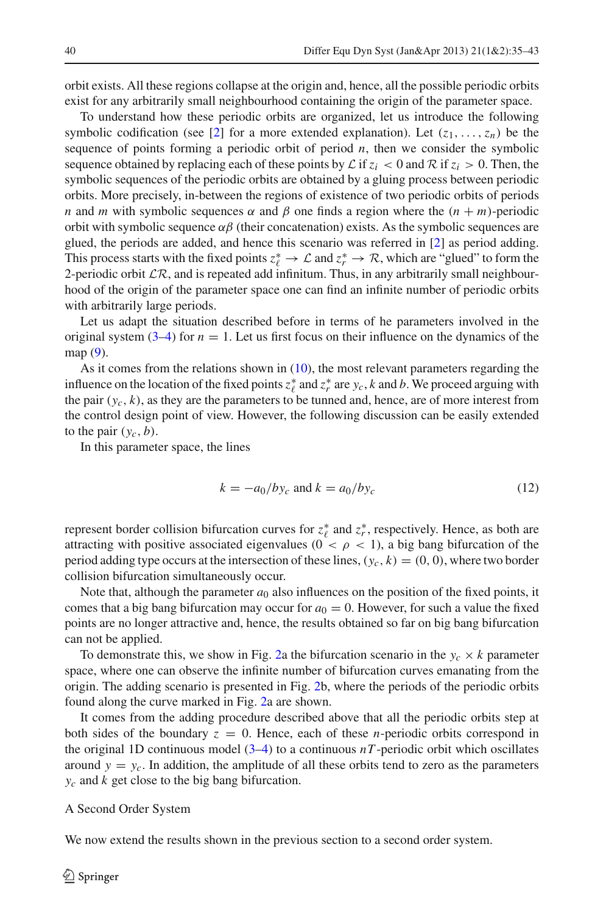orbit exists. All these regions collapse at the origin and, hence, all the possible periodic orbits exist for any arbitrarily small neighbourhood containing the origin of the parameter space.

To understand how these periodic orbits are organized, let us introduce the following symbolic codification (see [\[2](#page-8-6)] for a more extended explanation). Let  $(z_1, \ldots, z_n)$  be the sequence of points forming a periodic orbit of period  $n$ , then we consider the symbolic sequence obtained by replacing each of these points by  $\mathcal{L}$  if  $z_i < 0$  and  $\mathcal{R}$  if  $z_i > 0$ . Then, the symbolic sequences of the periodic orbits are obtained by a gluing process between periodic orbits. More precisely, in-between the regions of existence of two periodic orbits of periods *n* and *m* with symbolic sequences  $\alpha$  and  $\beta$  one finds a region where the  $(n + m)$ -periodic orbit with symbolic sequence  $\alpha\beta$  (their concatenation) exists. As the symbolic sequences are glued, the periods are added, and hence this scenario was referred in [\[2](#page-8-6)] as period adding. This process starts with the fixed points  $z_\ell^* \to \mathcal{L}$  and  $z_r^* \to \mathcal{R}$ , which are "glued" to form the 2-periodic orbit  $\mathcal{LR}$ , and is repeated add infinitum. Thus, in any arbitrarily small neighbourhood of the origin of the parameter space one can find an infinite number of periodic orbits with arbitrarily large periods.

Let us adapt the situation described before in terms of he parameters involved in the original system  $(3-4)$  $(3-4)$  for  $n = 1$ . Let us first focus on their influence on the dynamics of the map [\(9\)](#page-4-0).

As it comes from the relations shown in [\(10\)](#page-4-2), the most relevant parameters regarding the influence on the location of the fixed points  $z_t^*$  and  $z_r^*$  are  $y_c$ , *k* and *b*. We proceed arguing with the pair  $(y_c, k)$ , as they are the parameters to be tunned and, hence, are of more interest from the control design point of view. However, the following discussion can be easily extended to the pair  $(y_c, b)$ .

<span id="page-5-0"></span>In this parameter space, the lines

$$
k = -a_0 / by_c \text{ and } k = a_0 / by_c \tag{12}
$$

represent border collision bifurcation curves for  $z^*_{\ell}$  and  $z^*_{r}$ , respectively. Hence, as both are attracting with positive associated eigenvalues ( $0 < \rho < 1$ ), a big bang bifurcation of the period adding type occurs at the intersection of these lines,  $(y_c, k) = (0, 0)$ , where two border collision bifurcation simultaneously occur.

Note that, although the parameter  $a_0$  also influences on the position of the fixed points, it comes that a big bang bifurcation may occur for  $a_0 = 0$ . However, for such a value the fixed points are no longer attractive and, hence, the results obtained so far on big bang bifurcation can not be applied.

To demonstrate this, we show in Fig. [2a](#page-6-0) the bifurcation scenario in the  $y_c \times k$  parameter space, where one can observe the infinite number of bifurcation curves emanating from the origin. The adding scenario is presented in Fig. [2b](#page-6-0), where the periods of the periodic orbits found along the curve marked in Fig. [2a](#page-6-0) are shown.

It comes from the adding procedure described above that all the periodic orbits step at both sides of the boundary  $z = 0$ . Hence, each of these *n*-periodic orbits correspond in the original 1D continuous model  $(3-4)$  $(3-4)$  to a continuous *nT*-periodic orbit which oscillates around  $y = y_c$ . In addition, the amplitude of all these orbits tend to zero as the parameters *yc* and *k* get close to the big bang bifurcation.

#### A Second Order System

We now extend the results shown in the previous section to a second order system.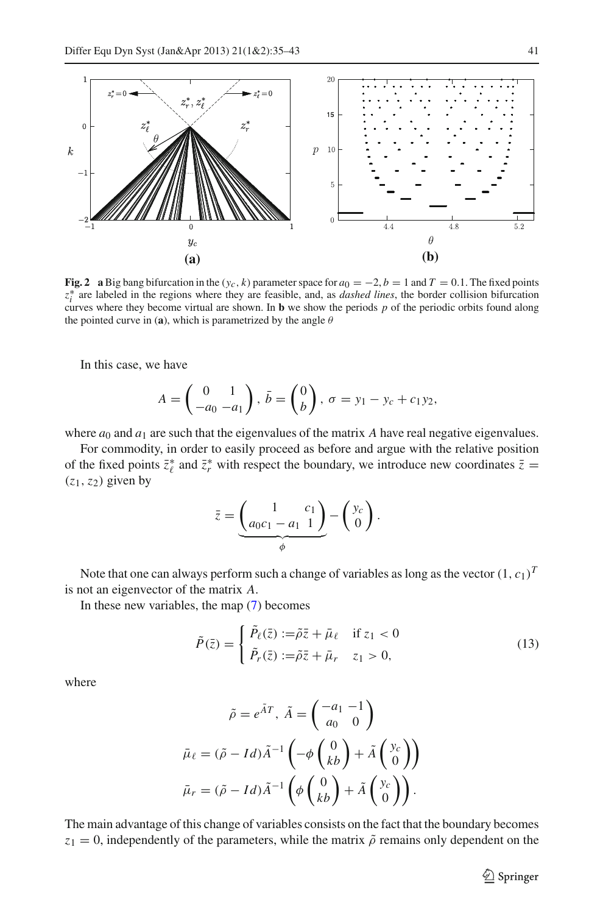

<span id="page-6-0"></span>**Fig. 2** a Big bang bifurcation in the  $(y_c, k)$  parameter space for  $a_0 = -2, b = 1$  and  $T = 0.1$ . The fixed points *z*∗ *<sup>i</sup>* are labeled in the regions where they are feasible, and, as *dashed lines*, the border collision bifurcation curves where they become virtual are shown. In **b** we show the periods *p* of the periodic orbits found along the pointed curve in (**a**), which is parametrized by the angle  $\theta$ 

In this case, we have

$$
A = \begin{pmatrix} 0 & 1 \\ -a_0 & -a_1 \end{pmatrix}, \ \bar{b} = \begin{pmatrix} 0 \\ b \end{pmatrix}, \ \sigma = y_1 - y_c + c_1 y_2,
$$

where  $a_0$  and  $a_1$  are such that the eigenvalues of the matrix *A* have real negative eigenvalues.

For commodity, in order to easily proceed as before and argue with the relative position of the fixed points  $\bar{z}_\ell^*$  and  $\bar{z}_r^*$  with respect the boundary, we introduce new coordinates  $\bar{z} =$  $(z_1, z_2)$  given by

$$
\bar{z} = \underbrace{\begin{pmatrix} 1 & c_1 \\ a_0c_1 - a_1 & 1 \end{pmatrix}}_{\phi} - \begin{pmatrix} y_c \\ 0 \end{pmatrix}.
$$

Note that one can always perform such a change of variables as long as the vector  $(1, c_1)^T$ is not an eigenvector of the matrix *A*.

<span id="page-6-1"></span>In these new variables, the map [\(7\)](#page-3-0) becomes

$$
\tilde{P}(\bar{z}) = \begin{cases}\n\tilde{P}_{\ell}(\bar{z}) := \tilde{\rho}\bar{z} + \bar{\mu}_{\ell} & \text{if } z_1 < 0 \\
\tilde{P}_r(\bar{z}) := \tilde{\rho}\bar{z} + \bar{\mu}_r & z_1 > 0,\n\end{cases} \tag{13}
$$

where

$$
\tilde{\rho} = e^{\tilde{A}T}, \ \tilde{A} = \begin{pmatrix} -a_1 & -1 \\ a_0 & 0 \end{pmatrix}
$$

$$
\bar{\mu}_{\ell} = (\tilde{\rho} - Id)\tilde{A}^{-1} \left( -\phi \begin{pmatrix} 0 \\ kb \end{pmatrix} + \tilde{A} \begin{pmatrix} y_c \\ 0 \end{pmatrix} \right)
$$

$$
\bar{\mu}_r = (\tilde{\rho} - Id)\tilde{A}^{-1} \left( \phi \begin{pmatrix} 0 \\ kb \end{pmatrix} + \tilde{A} \begin{pmatrix} y_c \\ 0 \end{pmatrix} \right).
$$

The main advantage of this change of variables consists on the fact that the boundary becomes  $z_1 = 0$ , independently of the parameters, while the matrix  $\tilde{\rho}$  remains only dependent on the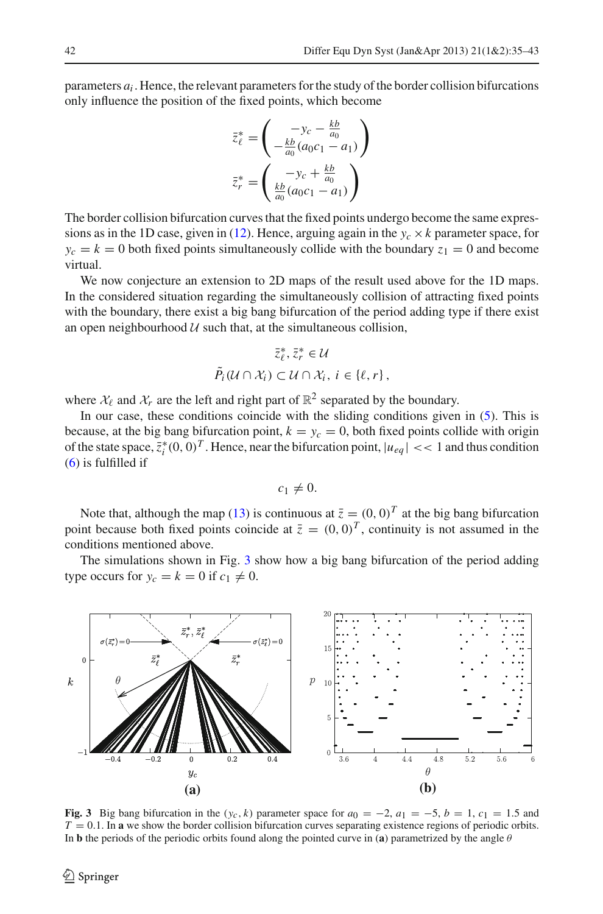parameters  $a_i$ . Hence, the relevant parameters for the study of the border collision bifurcations only influence the position of the fixed points, which become

$$
\bar{z}_{\ell}^{*} = \begin{pmatrix} -y_{c} - \frac{kb}{a_{0}} \\ -\frac{kb}{a_{0}}(a_{0}c_{1} - a_{1}) \end{pmatrix}
$$

$$
\bar{z}_{r}^{*} = \begin{pmatrix} -y_{c} + \frac{kb}{a_{0}} \\ \frac{kb}{a_{0}}(a_{0}c_{1} - a_{1}) \end{pmatrix}
$$

The border collision bifurcation curves that the fixed points undergo become the same expres-sions as in the 1D case, given in [\(12\)](#page-5-0). Hence, arguing again in the  $y_c \times k$  parameter space, for  $y_c = k = 0$  both fixed points simultaneously collide with the boundary  $z_1 = 0$  and become virtual.

We now conjecture an extension to 2D maps of the result used above for the 1D maps. In the considered situation regarding the simultaneously collision of attracting fixed points with the boundary, there exist a big bang bifurcation of the period adding type if there exist an open neighbourhood  $U$  such that, at the simultaneous collision,

$$
\bar{z}_{\ell}^*, \bar{z}_{r}^* \in \mathcal{U}
$$
  

$$
\tilde{P}_i(\mathcal{U} \cap \mathcal{X}_i) \subset \mathcal{U} \cap \mathcal{X}_i, i \in \{\ell, r\},\
$$

where  $\mathcal{X}_{\ell}$  and  $\mathcal{X}_{r}$  are the left and right part of  $\mathbb{R}^{2}$  separated by the boundary.

In our case, these conditions coincide with the sliding conditions given in [\(5\)](#page-2-4). This is because, at the big bang bifurcation point,  $k = y_c = 0$ , both fixed points collide with origin of the state space,  $\bar{z}_i^*(0, 0)^T$ . Hence, near the bifurcation point,  $|u_{eq}| \ll 1$  and thus condition  $(6)$  is fulfilled if

$$
c_1\neq 0.
$$

Note that, although the map [\(13\)](#page-6-1) is continuous at  $\bar{z} = (0, 0)^T$  at the big bang bifurcation point because both fixed points coincide at  $\bar{z} = (0, 0)^T$ , continuity is not assumed in the conditions mentioned above.

The simulations shown in Fig. [3](#page-7-0) show how a big bang bifurcation of the period adding type occurs for  $y_c = k = 0$  if  $c_1 \neq 0$ .



<span id="page-7-0"></span>**Fig. 3** Big bang bifurcation in the  $(y_c, k)$  parameter space for  $a_0 = -2$ ,  $a_1 = -5$ ,  $b = 1$ ,  $c_1 = 1.5$  and  $T = 0.1$ . In **a** we show the border collision bifurcation curves separating existence regions of periodic orbits. In **b** the periods of the periodic orbits found along the pointed curve in (**a**) parametrized by the angle  $\theta$